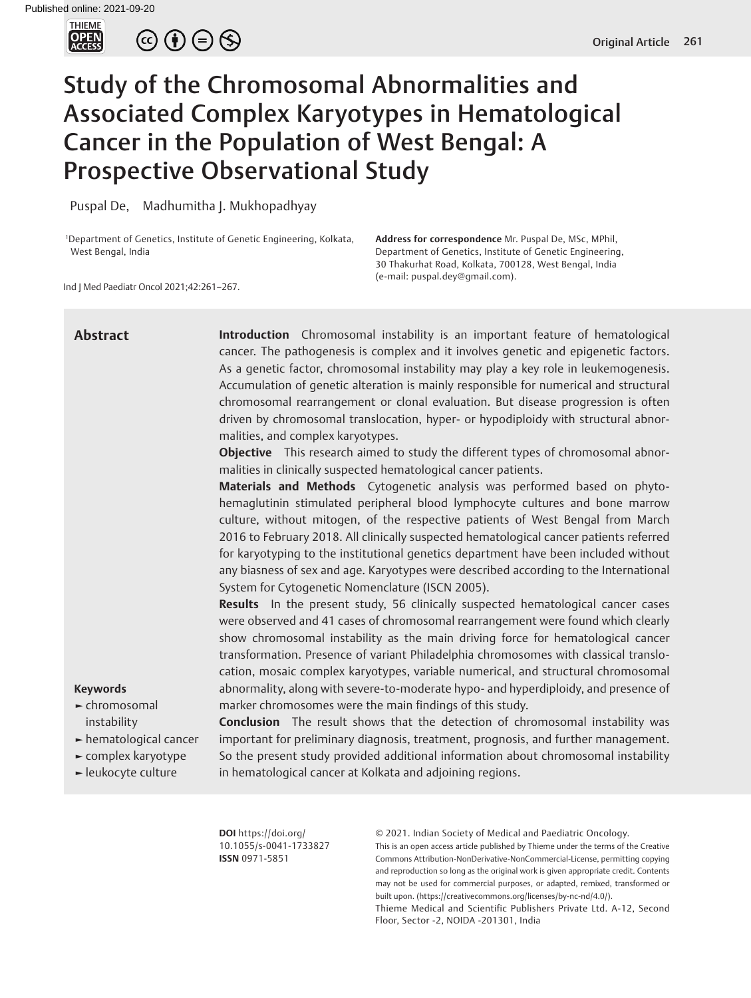

 $\circledcirc \bullet \circledcirc \circledcirc$ 

# Study of the Chromosomal Abnormalities and Associated Complex Karyotypes in Hematological Cancer in the Population of West Bengal: A Prospective Observational Study

Puspal De, Madhumitha J. Mukhopadhyay

1 Department of Genetics, Institute of Genetic Engineering, Kolkata, West Bengal, India

**Address for correspondence** Mr. Puspal De, MSc, MPhil, Department of Genetics, Institute of Genetic Engineering, 30 Thakurhat Road, Kolkata, 700128, West Bengal, India (e-mail: puspal.dey@gmail.com).

Ind J Med Paediatr Oncol 2021;42:261–267.

| <b>Abstract</b><br><b>Keywords</b><br>► chromosomal<br>instability<br>hematological cancer<br>complex karyotype<br>- leukocyte culture | <b>Introduction</b> Chromosomal instability is an important feature of hematological<br>cancer. The pathogenesis is complex and it involves genetic and epigenetic factors.<br>As a genetic factor, chromosomal instability may play a key role in leukemogenesis.<br>Accumulation of genetic alteration is mainly responsible for numerical and structural<br>chromosomal rearrangement or clonal evaluation. But disease progression is often<br>driven by chromosomal translocation, hyper- or hypodiploidy with structural abnor-<br>malities, and complex karyotypes.<br><b>Objective</b> This research aimed to study the different types of chromosomal abnor-<br>malities in clinically suspected hematological cancer patients.<br>Materials and Methods Cytogenetic analysis was performed based on phyto-<br>hemaglutinin stimulated peripheral blood lymphocyte cultures and bone marrow<br>culture, without mitogen, of the respective patients of West Bengal from March<br>2016 to February 2018. All clinically suspected hematological cancer patients referred<br>for karyotyping to the institutional genetics department have been included without<br>any biasness of sex and age. Karyotypes were described according to the International<br>System for Cytogenetic Nomenclature (ISCN 2005).<br>Results In the present study, 56 clinically suspected hematological cancer cases<br>were observed and 41 cases of chromosomal rearrangement were found which clearly<br>show chromosomal instability as the main driving force for hematological cancer<br>transformation. Presence of variant Philadelphia chromosomes with classical translo-<br>cation, mosaic complex karyotypes, variable numerical, and structural chromosomal<br>abnormality, along with severe-to-moderate hypo- and hyperdiploidy, and presence of<br>marker chromosomes were the main findings of this study.<br><b>Conclusion</b> The result shows that the detection of chromosomal instability was<br>important for preliminary diagnosis, treatment, prognosis, and further management.<br>So the present study provided additional information about chromosomal instability<br>in hematological cancer at Kolkata and adjoining regions. |
|----------------------------------------------------------------------------------------------------------------------------------------|--------------------------------------------------------------------------------------------------------------------------------------------------------------------------------------------------------------------------------------------------------------------------------------------------------------------------------------------------------------------------------------------------------------------------------------------------------------------------------------------------------------------------------------------------------------------------------------------------------------------------------------------------------------------------------------------------------------------------------------------------------------------------------------------------------------------------------------------------------------------------------------------------------------------------------------------------------------------------------------------------------------------------------------------------------------------------------------------------------------------------------------------------------------------------------------------------------------------------------------------------------------------------------------------------------------------------------------------------------------------------------------------------------------------------------------------------------------------------------------------------------------------------------------------------------------------------------------------------------------------------------------------------------------------------------------------------------------------------------------------------------------------------------------------------------------------------------------------------------------------------------------------------------------------------------------------------------------------------------------------------------------------------------------------------------------------------------------------------------------------------------------------------------------------------------------------------------------------------------------------------|
|                                                                                                                                        |                                                                                                                                                                                                                                                                                                                                                                                                                                                                                                                                                                                                                                                                                                                                                                                                                                                                                                                                                                                                                                                                                                                                                                                                                                                                                                                                                                                                                                                                                                                                                                                                                                                                                                                                                                                                                                                                                                                                                                                                                                                                                                                                                                                                                                                  |

**DOI** https://doi.org/ 10.1055/s-0041-1733827 **ISSN** 0971-5851

© 2021. Indian Society of Medical and Paediatric Oncology.

This is an open access article published by Thieme under the terms of the Creative Commons Attribution-NonDerivative-NonCommercial-License, permitting copying and reproduction so long as the original work is given appropriate credit. Contents may not be used for commercial purposes, or adapted, remixed, transformed or built upon. (https://creativecommons.org/licenses/by-nc-nd/4.0/).

Thieme Medical and Scientific Publishers Private Ltd. A-12, Second Floor, Sector -2, NOIDA -201301, India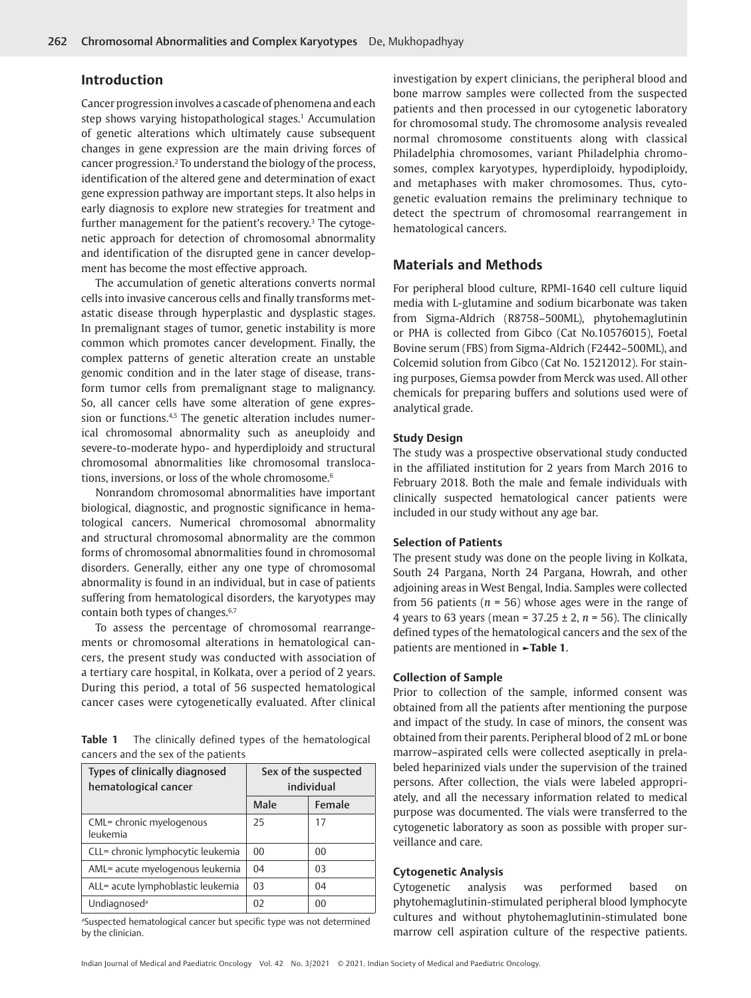## **Introduction**

<span id="page-1-2"></span><span id="page-1-1"></span>Cancer progression involves a cascade of phenomena and each step shows varying histopathological stages.<sup>[1](#page-5-0)</sup> Accumulation of genetic alterations which ultimately cause subsequent changes in gene expression are the main driving forces of cancer progression.<sup>2</sup> To understand the biology of the process, identification of the altered gene and determination of exact gene expression pathway are important steps. It also helps in early diagnosis to explore new strategies for treatment and further management for the patient's recovery.<sup>[3](#page-5-2)</sup> The cytogenetic approach for detection of chromosomal abnormality and identification of the disrupted gene in cancer development has become the most effective approach.

<span id="page-1-3"></span>The accumulation of genetic alterations converts normal cells into invasive cancerous cells and finally transforms metastatic disease through hyperplastic and dysplastic stages. In premalignant stages of tumor, genetic instability is more common which promotes cancer development. Finally, the complex patterns of genetic alteration create an unstable genomic condition and in the later stage of disease, transform tumor cells from premalignant stage to malignancy. So, all cancer cells have some alteration of gene expres-sion or functions.<sup>4[,5](#page-5-4)</sup> The genetic alteration includes numerical chromosomal abnormality such as aneuploidy and severe-to-moderate hypo- and hyperdiploidy and structural chromosomal abnormalities like chromosomal translocations, inversions, or loss of the whole chromosome.<sup>6</sup>

<span id="page-1-6"></span><span id="page-1-4"></span>Nonrandom chromosomal abnormalities have important biological, diagnostic, and prognostic significance in hematological cancers. Numerical chromosomal abnormality and structural chromosomal abnormality are the common forms of chromosomal abnormalities found in chromosomal disorders. Generally, either any one type of chromosomal abnormality is found in an individual, but in case of patients suffering from hematological disorders, the karyotypes may contain both types of changes.<sup>6,[7](#page-5-6)</sup>

To assess the percentage of chromosomal rearrangements or chromosomal alterations in hematological cancers, the present study was conducted with association of a tertiary care hospital, in Kolkata, over a period of 2 years. During this period, a total of 56 suspected hematological cancer cases were cytogenetically evaluated. After clinical

<span id="page-1-0"></span>**Table 1** The clinically defined types of the hematological cancers and the sex of the patients

| Types of clinically diagnosed<br>hematological cancer | Sex of the suspected<br>individual |                |  |  |
|-------------------------------------------------------|------------------------------------|----------------|--|--|
|                                                       | Male                               | Female         |  |  |
| CML= chronic myelogenous<br>leukemia                  | 25                                 | 17             |  |  |
| CLL= chronic lymphocytic leukemia                     | 0 <sub>0</sub>                     | 0 <sup>0</sup> |  |  |
| AML= acute myelogenous leukemia                       | 04                                 | 0 <sup>3</sup> |  |  |
| ALL= acute lymphoblastic leukemia                     | 03                                 | 04             |  |  |
| Undiagnosed <sup>a</sup>                              | 02                                 | 0 <sub>0</sub> |  |  |

a Suspected hematological cancer but specific type was not determined by the clinician.

investigation by expert clinicians, the peripheral blood and bone marrow samples were collected from the suspected patients and then processed in our cytogenetic laboratory for chromosomal study. The chromosome analysis revealed normal chromosome constituents along with classical Philadelphia chromosomes, variant Philadelphia chromosomes, complex karyotypes, hyperdiploidy, hypodiploidy, and metaphases with maker chromosomes. Thus, cytogenetic evaluation remains the preliminary technique to detect the spectrum of chromosomal rearrangement in hematological cancers.

# **Materials and Methods**

For peripheral blood culture, RPMI-1640 cell culture liquid media with L-glutamine and sodium bicarbonate was taken from Sigma-Aldrich (R8758–500ML), phytohemaglutinin or PHA is collected from Gibco (Cat No.10576015), Foetal Bovine serum (FBS) from Sigma-Aldrich (F2442–500ML), and Colcemid solution from Gibco (Cat No. 15212012). For staining purposes, Giemsa powder from Merck was used. All other chemicals for preparing buffers and solutions used were of analytical grade.

## <span id="page-1-5"></span>**Study Design**

The study was a prospective observational study conducted in the affiliated institution for 2 years from March 2016 to February 2018. Both the male and female individuals with clinically suspected hematological cancer patients were included in our study without any age bar.

#### **Selection of Patients**

<span id="page-1-7"></span>The present study was done on the people living in Kolkata, South 24 Pargana, North 24 Pargana, Howrah, and other adjoining areas in West Bengal, India. Samples were collected from 56 patients (*n* = 56) whose ages were in the range of 4 years to 63 years (mean = 37.25 ± 2, *n* = 56). The clinically defined types of the hematological cancers and the sex of the patients are mentioned in **[►Table 1](#page-1-0)**.

#### **Collection of Sample**

Prior to collection of the sample, informed consent was obtained from all the patients after mentioning the purpose and impact of the study. In case of minors, the consent was obtained from their parents. Peripheral blood of 2 mL or bone marrow–aspirated cells were collected aseptically in prelabeled heparinized vials under the supervision of the trained persons. After collection, the vials were labeled appropriately, and all the necessary information related to medical purpose was documented. The vials were transferred to the cytogenetic laboratory as soon as possible with proper surveillance and care.

## **Cytogenetic Analysis**

Cytogenetic analysis was performed based on phytohemaglutinin-stimulated peripheral blood lymphocyte cultures and without phytohemaglutinin-stimulated bone marrow cell aspiration culture of the respective patients.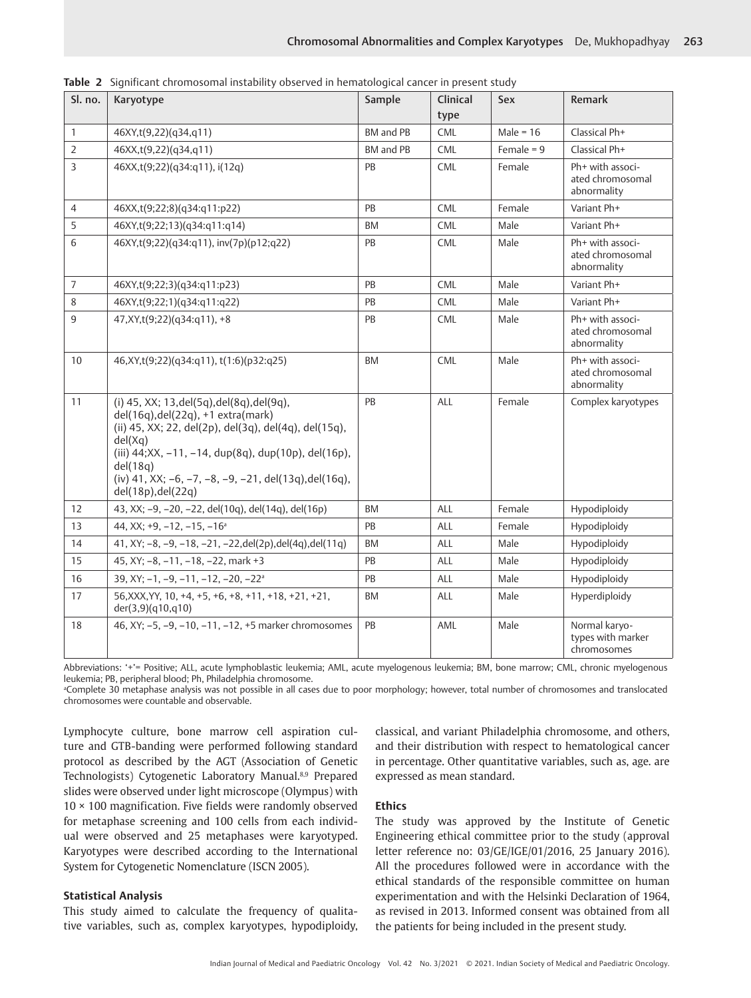| Sl. no.        | Karyotype                                                                                                                                                                                                                                                                                                             | Sample    | Clinical   | <b>Sex</b>   | Remark                                              |
|----------------|-----------------------------------------------------------------------------------------------------------------------------------------------------------------------------------------------------------------------------------------------------------------------------------------------------------------------|-----------|------------|--------------|-----------------------------------------------------|
|                |                                                                                                                                                                                                                                                                                                                       |           | type       |              |                                                     |
| $\mathbf{1}$   | 46XY,t(9,22)(q34,q11)                                                                                                                                                                                                                                                                                                 | BM and PB | CML        | Male = $16$  | Classical Ph+                                       |
| $\overline{2}$ | 46XX,t(9,22)(q34,q11)                                                                                                                                                                                                                                                                                                 | BM and PB | <b>CML</b> | Female = $9$ | Classical Ph+                                       |
| 3              | 46XX,t(9;22)(q34:q11), i(12q)                                                                                                                                                                                                                                                                                         | PB        | <b>CML</b> | Female       | Ph+ with associ-<br>ated chromosomal<br>abnormality |
| $\overline{4}$ | 46XX,t(9;22;8)(q34:q11:p22)                                                                                                                                                                                                                                                                                           | PB        | <b>CML</b> | Female       | Variant Ph+                                         |
| 5              | 46XY,t(9;22;13)(q34:q11:q14)                                                                                                                                                                                                                                                                                          | <b>BM</b> | <b>CML</b> | Male         | Variant Ph+                                         |
| 6              | 46XY,t(9;22)(q34:q11), inv(7p)(p12;q22)                                                                                                                                                                                                                                                                               | PB        | <b>CML</b> | Male         | Ph+ with associ-<br>ated chromosomal<br>abnormality |
| $\overline{7}$ | 46XY,t(9;22;3)(q34:q11:p23)                                                                                                                                                                                                                                                                                           | PB        | <b>CML</b> | Male         | Variant Ph+                                         |
| 8              | 46XY,t(9;22;1)(q34:q11:q22)                                                                                                                                                                                                                                                                                           | PB        | <b>CML</b> | Male         | Variant Ph+                                         |
| 9              | 47, XY, t(9; 22) (q34: q11), +8                                                                                                                                                                                                                                                                                       | PB        | <b>CML</b> | Male         | Ph+ with associ-<br>ated chromosomal<br>abnormality |
| 10             | 46, XY, t(9; 22) (q34: q11), t(1: 6) (p32: q25)                                                                                                                                                                                                                                                                       | <b>BM</b> | <b>CML</b> | Male         | Ph+ with associ-<br>ated chromosomal<br>abnormality |
| 11             | (i) 45, XX; 13, del(5q), del(8q), del(9q),<br>del(16q), del(22q), +1 extra(mark)<br>(ii) 45, XX; 22, del(2p), del(3q), del(4q), del(15q),<br>del(Xq)<br>(iii) 44; XX, -11, -14, dup(8q), dup(10p), del(16p),<br>del(18q)<br>(iv) 41, XX; $-6$ , $-7$ , $-8$ , $-9$ , $-21$ , del(13q),del(16q),<br>del(18p), del(22q) | PB        | ALL        | Female       | Complex karyotypes                                  |
| 12             | 43, XX; -9, -20, -22, del(10q), del(14q), del(16p)                                                                                                                                                                                                                                                                    | <b>BM</b> | ALL        | Female       | Hypodiploidy                                        |
| 13             | 44, XX; $+9$ , $-12$ , $-15$ , $-16a$                                                                                                                                                                                                                                                                                 | PB        | ALL        | Female       | Hypodiploidy                                        |
| 14             | 41, XY; -8, -9, -18, -21, -22, del(2p), del(4q), del(11q)                                                                                                                                                                                                                                                             | <b>BM</b> | ALL        | Male         | Hypodiploidy                                        |
| 15             | 45, XY; -8, -11, -18, -22, mark +3                                                                                                                                                                                                                                                                                    | PB        | ALL        | Male         | Hypodiploidy                                        |
| 16             | 39, XY; $-1$ , $-9$ , $-11$ , $-12$ , $-20$ , $-22a$                                                                                                                                                                                                                                                                  | PB        | ALL        | Male         | Hypodiploidy                                        |
| 17             | 56, XXX, YY, 10, +4, +5, +6, +8, +11, +18, +21, +21,<br>der(3,9)(q10,q10)                                                                                                                                                                                                                                             | BM        | ALL        | Male         | Hyperdiploidy                                       |
| 18             | 46, XY; -5, -9, -10, -11, -12, +5 marker chromosomes                                                                                                                                                                                                                                                                  | PB        | AML        | Male         | Normal karyo-<br>types with marker<br>chromosomes   |

<span id="page-2-0"></span>**Table 2** Significant chromosomal instability observed in hematological cancer in present study

Abbreviations: '+'= Positive; ALL, acute lymphoblastic leukemia; AML, acute myelogenous leukemia; BM, bone marrow; CML, chronic myelogenous leukemia; PB, peripheral blood; Ph, Philadelphia chromosome.

a Complete 30 metaphase analysis was not possible in all cases due to poor morphology; however, total number of chromosomes and translocated chromosomes were countable and observable.

<span id="page-2-1"></span>Lymphocyte culture, bone marrow cell aspiration culture and GTB-banding were performed following standard protocol as described by the AGT (Association of Genetic Technologists) Cytogenetic Laboratory Manual.<sup>8[,9](#page-5-8)</sup> Prepared slides were observed under light microscope (Olympus) with  $10 \times 100$  magnification. Five fields were randomly observed for metaphase screening and 100 cells from each individual were observed and 25 metaphases were karyotyped. Karyotypes were described according to the International System for Cytogenetic Nomenclature (ISCN 2005).

## **Statistical Analysis**

This study aimed to calculate the frequency of qualitative variables, such as, complex karyotypes, hypodiploidy,

classical, and variant Philadelphia chromosome, and others, and their distribution with respect to hematological cancer in percentage. Other quantitative variables, such as, age. are expressed as mean standard.

## <span id="page-2-2"></span>**Ethics**

The study was approved by the Institute of Genetic Engineering ethical committee prior to the study (approval letter reference no: 03/GE/IGE/01/2016, 25 January 2016). All the procedures followed were in accordance with the ethical standards of the responsible committee on human experimentation and with the Helsinki Declaration of 1964, as revised in 2013. Informed consent was obtained from all the patients for being included in the present study.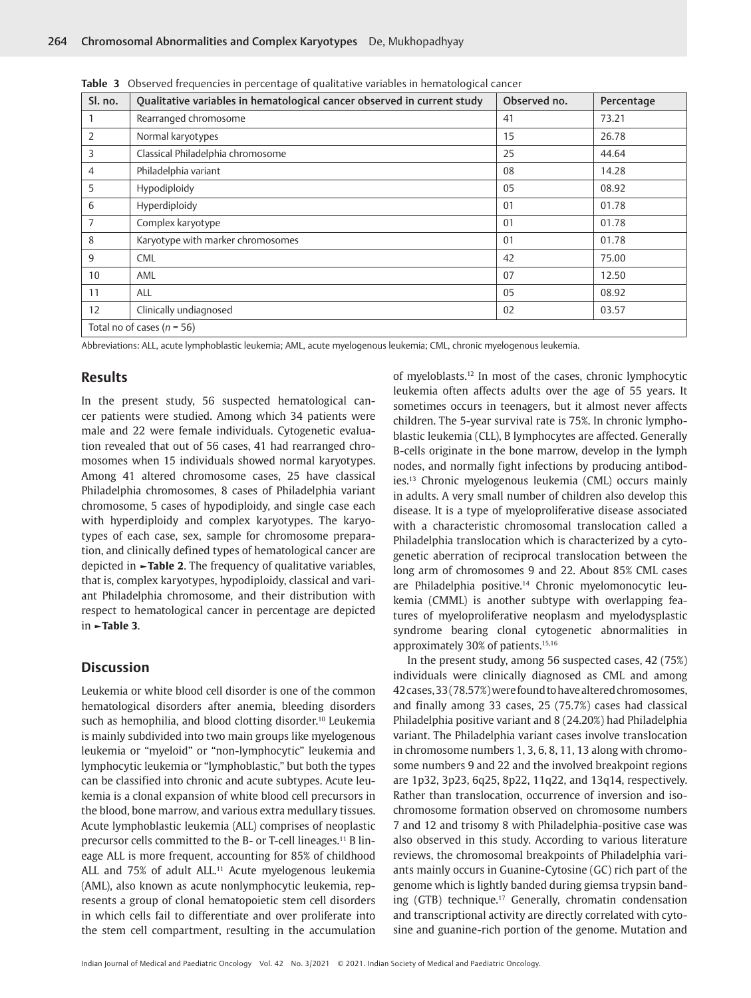| Sl. no.        | Qualitative variables in hematological cancer observed in current study | Observed no.   | Percentage |
|----------------|-------------------------------------------------------------------------|----------------|------------|
|                | Rearranged chromosome                                                   | 41             | 73.21      |
| $\overline{2}$ | Normal karyotypes                                                       | 15             | 26.78      |
| 3              | Classical Philadelphia chromosome                                       | 25             | 44.64      |
| $\overline{4}$ | Philadelphia variant                                                    | 08             | 14.28      |
| 5              | Hypodiploidy                                                            | 05             | 08.92      |
| 6              | Hyperdiploidy                                                           | 01             | 01.78      |
| $\overline{7}$ | Complex karyotype                                                       | 0 <sub>1</sub> | 01.78      |
| 8              | Karyotype with marker chromosomes                                       | 01             | 01.78      |
| 9              | <b>CML</b>                                                              | 42             | 75.00      |
| 10             | AML                                                                     | 07             | 12.50      |
| 11             | <b>ALL</b>                                                              | 05             | 08.92      |
| 12             | Clinically undiagnosed                                                  | 02             | 03.57      |
|                | Total no of cases ( $n = 56$ )                                          |                |            |

<span id="page-3-0"></span>**Table 3** Observed frequencies in percentage of qualitative variables in hematological cancer

Abbreviations: ALL, acute lymphoblastic leukemia; AML, acute myelogenous leukemia; CML, chronic myelogenous leukemia.

## **Results**

In the present study, 56 suspected hematological cancer patients were studied. Among which 34 patients were male and 22 were female individuals. Cytogenetic evaluation revealed that out of 56 cases, 41 had rearranged chromosomes when 15 individuals showed normal karyotypes. Among 41 altered chromosome cases, 25 have classical Philadelphia chromosomes, 8 cases of Philadelphia variant chromosome, 5 cases of hypodiploidy, and single case each with hyperdiploidy and complex karyotypes. The karyotypes of each case, sex, sample for chromosome preparation, and clinically defined types of hematological cancer are depicted in **[►Table 2](#page-2-0)**. The frequency of qualitative variables, that is, complex karyotypes, hypodiploidy, classical and variant Philadelphia chromosome, and their distribution with respect to hematological cancer in percentage are depicted in **[►Table 3](#page-3-0)**.

## **Discussion**

<span id="page-3-2"></span><span id="page-3-1"></span>Leukemia or white blood cell disorder is one of the common hematological disorders after anemia, bleeding disorders such as hemophilia, and blood clotting disorder.<sup>10</sup> Leukemia is mainly subdivided into two main groups like myelogenous leukemia or "myeloid" or "non-lymphocytic" leukemia and lymphocytic leukemia or "lymphoblastic," but both the types can be classified into chronic and acute subtypes. Acute leukemia is a clonal expansion of white blood cell precursors in the blood, bone marrow, and various extra medullary tissues. Acute lymphoblastic leukemia (ALL) comprises of neoplastic precursor cells committed to the B- or T-cell lineages.<sup>11</sup> B lineage ALL is more frequent, accounting for 85% of childhood ALL and 75% of adult ALL.<sup>[11](#page-5-10)</sup> Acute myelogenous leukemia (AML), also known as acute nonlymphocytic leukemia, represents a group of clonal hematopoietic stem cell disorders in which cells fail to differentiate and over proliferate into the stem cell compartment, resulting in the accumulation <span id="page-3-4"></span><span id="page-3-3"></span>of myeloblasts[.12](#page-5-11) In most of the cases, chronic lymphocytic leukemia often affects adults over the age of 55 years. It sometimes occurs in teenagers, but it almost never affects children. The 5-year survival rate is 75%. In chronic lymphoblastic leukemia (CLL), B lymphocytes are affected. Generally B-cells originate in the bone marrow, develop in the lymph nodes, and normally fight infections by producing antibodies.[13](#page-5-12) Chronic myelogenous leukemia (CML) occurs mainly in adults. A very small number of children also develop this disease. It is a type of myeloproliferative disease associated with a characteristic chromosomal translocation called a Philadelphia translocation which is characterized by a cytogenetic aberration of reciprocal translocation between the long arm of chromosomes 9 and 22. About 85% CML cases are Philadelphia positive.<sup>[14](#page-5-13)</sup> Chronic myelomonocytic leukemia (CMML) is another subtype with overlapping features of myeloproliferative neoplasm and myelodysplastic syndrome bearing clonal cytogenetic abnormalities in approximately 30% of patients[.15](#page-5-14)[,16](#page-5-15)

<span id="page-3-8"></span><span id="page-3-7"></span><span id="page-3-6"></span><span id="page-3-5"></span>In the present study, among 56 suspected cases, 42 (75%) individuals were clinically diagnosed as CML and among 42 cases, 33 (78.57%) were found to have altered chromosomes, and finally among 33 cases, 25 (75.7%) cases had classical Philadelphia positive variant and 8 (24.20%) had Philadelphia variant. The Philadelphia variant cases involve translocation in chromosome numbers 1, 3, 6, 8, 11, 13 along with chromosome numbers 9 and 22 and the involved breakpoint regions are 1p32, 3p23, 6q25, 8p22, 11q22, and 13q14, respectively. Rather than translocation, occurrence of inversion and isochromosome formation observed on chromosome numbers 7 and 12 and trisomy 8 with Philadelphia-positive case was also observed in this study. According to various literature reviews, the chromosomal breakpoints of Philadelphia variants mainly occurs in Guanine-Cytosine (GC) rich part of the genome which is lightly banded during giemsa trypsin banding (GTB) technique.[17](#page-5-16) Generally, chromatin condensation and transcriptional activity are directly correlated with cytosine and guanine-rich portion of the genome. Mutation and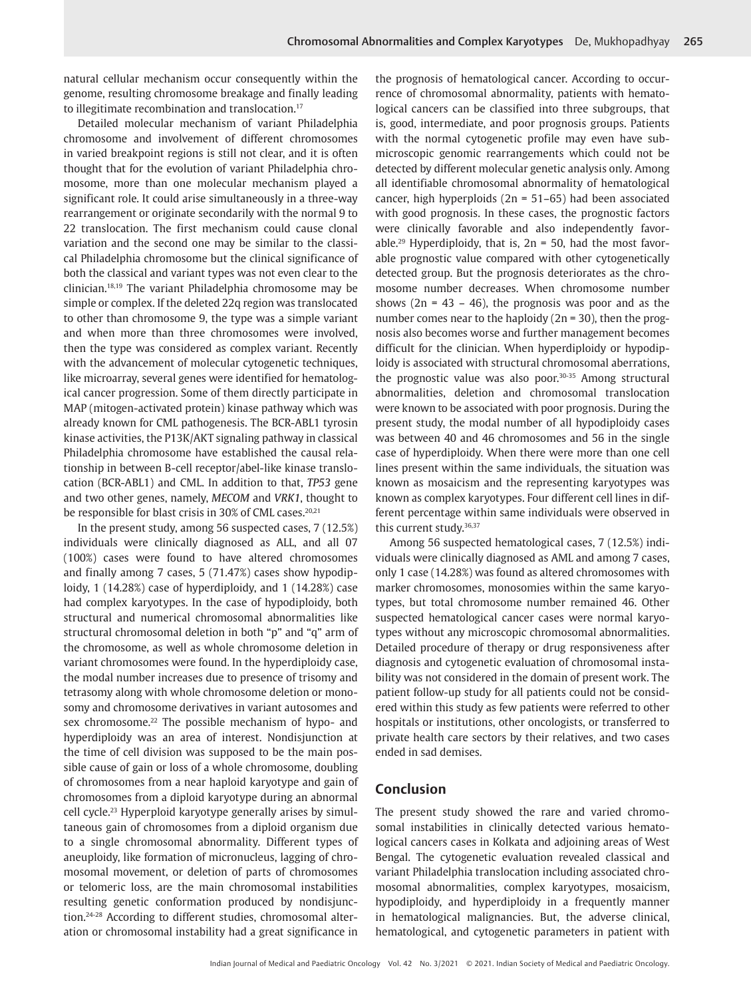natural cellular mechanism occur consequently within the genome, resulting chromosome breakage and finally leading to illegitimate recombination and translocation.<sup>17</sup>

<span id="page-4-1"></span><span id="page-4-0"></span>Detailed molecular mechanism of variant Philadelphia chromosome and involvement of different chromosomes in varied breakpoint regions is still not clear, and it is often thought that for the evolution of variant Philadelphia chromosome, more than one molecular mechanism played a significant role. It could arise simultaneously in a three-way rearrangement or originate secondarily with the normal 9 to 22 translocation. The first mechanism could cause clonal variation and the second one may be similar to the classical Philadelphia chromosome but the clinical significance of both the classical and variant types was not even clear to the clinician.[18](#page-5-17),[19](#page-5-18) The variant Philadelphia chromosome may be simple or complex. If the deleted 22q region was translocated to other than chromosome 9, the type was a simple variant and when more than three chromosomes were involved, then the type was considered as complex variant. Recently with the advancement of molecular cytogenetic techniques, like microarray, several genes were identified for hematological cancer progression. Some of them directly participate in MAP (mitogen-activated protein) kinase pathway which was already known for CML pathogenesis. The BCR-ABL1 tyrosin kinase activities, the P13K/AKT signaling pathway in classical Philadelphia chromosome have established the causal relationship in between B-cell receptor/abel-like kinase translocation (BCR-ABL1) and CML. In addition to that, *TP53* gene and two other genes, namely, *MECOM* and *VRK1*, thought to be responsible for blast crisis in 30% of CML cases.<sup>[20](#page-5-19)[,21](#page-5-20)</sup>

<span id="page-4-5"></span><span id="page-4-4"></span><span id="page-4-2"></span>In the present study, among 56 suspected cases, 7 (12.5%) individuals were clinically diagnosed as ALL, and all 07 (100%) cases were found to have altered chromosomes and finally among 7 cases, 5 (71.47%) cases show hypodiploidy, 1 (14.28%) case of hyperdiploidy, and 1 (14.28%) case had complex karyotypes. In the case of hypodiploidy, both structural and numerical chromosomal abnormalities like structural chromosomal deletion in both "p" and "q" arm of the chromosome, as well as whole chromosome deletion in variant chromosomes were found. In the hyperdiploidy case, the modal number increases due to presence of trisomy and tetrasomy along with whole chromosome deletion or monosomy and chromosome derivatives in variant autosomes and sex chromosome.<sup>[22](#page-5-21)</sup> The possible mechanism of hypo- and hyperdiploidy was an area of interest. Nondisjunction at the time of cell division was supposed to be the main possible cause of gain or loss of a whole chromosome, doubling of chromosomes from a near haploid karyotype and gain of chromosomes from a diploid karyotype during an abnormal cell cycle[.23](#page-5-22) Hyperploid karyotype generally arises by simultaneous gain of chromosomes from a diploid organism due to a single chromosomal abnormality. Different types of aneuploidy, like formation of micronucleus, lagging of chromosomal movement, or deletion of parts of chromosomes or telomeric loss, are the main chromosomal instabilities resulting genetic conformation produced by nondisjunction.[24](#page-5-23)-[28](#page-5-24) According to different studies, chromosomal alteration or chromosomal instability had a great significance in

<span id="page-4-8"></span>the prognosis of hematological cancer. According to occurrence of chromosomal abnormality, patients with hematological cancers can be classified into three subgroups, that is, good, intermediate, and poor prognosis groups. Patients with the normal cytogenetic profile may even have submicroscopic genomic rearrangements which could not be detected by different molecular genetic analysis only. Among all identifiable chromosomal abnormality of hematological cancer, high hyperploids (2n = 51–65) had been associated with good prognosis. In these cases, the prognostic factors were clinically favorable and also independently favorable.<sup>29</sup> Hyperdiploidy, that is,  $2n = 50$ , had the most favorable prognostic value compared with other cytogenetically detected group. But the prognosis deteriorates as the chromosome number decreases. When chromosome number shows  $(2n = 43 - 46)$ , the prognosis was poor and as the number comes near to the haploidy  $(2n = 30)$ , then the prognosis also becomes worse and further management becomes difficult for the clinician. When hyperdiploidy or hypodiploidy is associated with structural chromosomal aberrations, the prognostic value was also poor[.30-](#page-5-26)[35](#page-6-0) Among structural abnormalities, deletion and chromosomal translocation were known to be associated with poor prognosis. During the present study, the modal number of all hypodiploidy cases was between 40 and 46 chromosomes and 56 in the single case of hyperdiploidy. When there were more than one cell lines present within the same individuals, the situation was known as mosaicism and the representing karyotypes was known as complex karyotypes. Four different cell lines in different percentage within same individuals were observed in this current study.<sup>36[,37](#page-6-2)</sup>

<span id="page-4-12"></span><span id="page-4-11"></span><span id="page-4-10"></span><span id="page-4-9"></span><span id="page-4-3"></span>Among 56 suspected hematological cases, 7 (12.5%) individuals were clinically diagnosed as AML and among 7 cases, only 1 case (14.28%) was found as altered chromosomes with marker chromosomes, monosomies within the same karyotypes, but total chromosome number remained 46. Other suspected hematological cancer cases were normal karyotypes without any microscopic chromosomal abnormalities. Detailed procedure of therapy or drug responsiveness after diagnosis and cytogenetic evaluation of chromosomal instability was not considered in the domain of present work. The patient follow-up study for all patients could not be considered within this study as few patients were referred to other hospitals or institutions, other oncologists, or transferred to private health care sectors by their relatives, and two cases ended in sad demises.

## **Conclusion**

<span id="page-4-7"></span><span id="page-4-6"></span>The present study showed the rare and varied chromosomal instabilities in clinically detected various hematological cancers cases in Kolkata and adjoining areas of West Bengal. The cytogenetic evaluation revealed classical and variant Philadelphia translocation including associated chromosomal abnormalities, complex karyotypes, mosaicism, hypodiploidy, and hyperdiploidy in a frequently manner in hematological malignancies. But, the adverse clinical, hematological, and cytogenetic parameters in patient with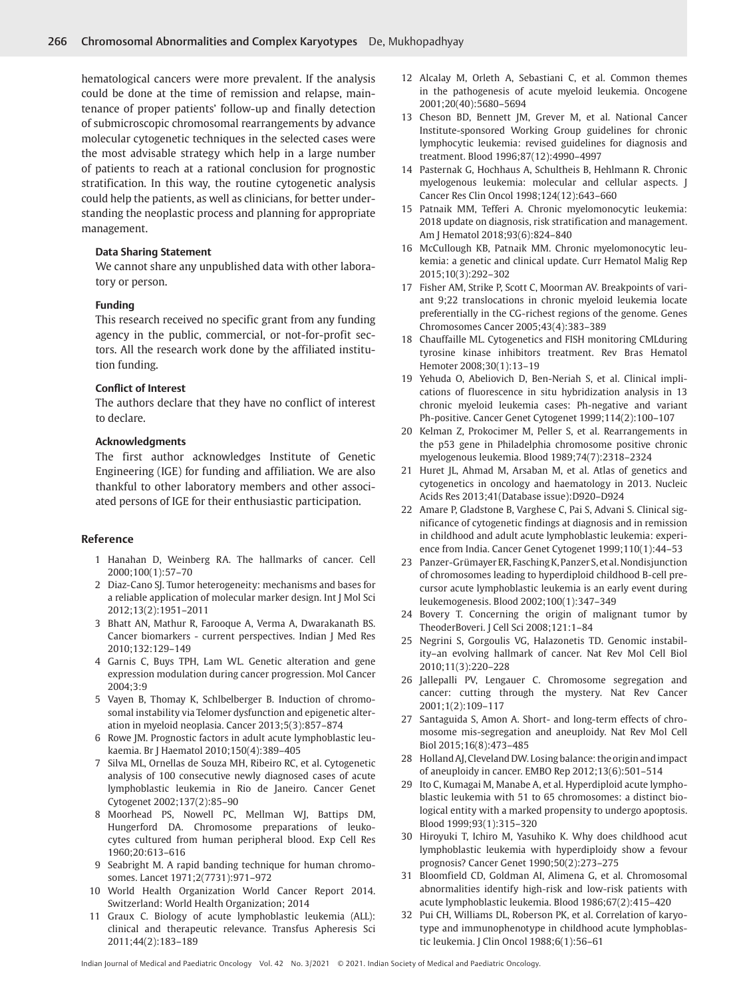hematological cancers were more prevalent. If the analysis could be done at the time of remission and relapse, maintenance of proper patients' follow-up and finally detection of submicroscopic chromosomal rearrangements by advance molecular cytogenetic techniques in the selected cases were the most advisable strategy which help in a large number of patients to reach at a rational conclusion for prognostic stratification. In this way, the routine cytogenetic analysis could help the patients, as well as clinicians, for better understanding the neoplastic process and planning for appropriate management.

#### **Data Sharing Statement**

We cannot share any unpublished data with other laboratory or person.

#### **Funding**

This research received no specific grant from any funding agency in the public, commercial, or not-for-profit sectors. All the research work done by the affiliated institution funding.

### **Conflict of Interest**

The authors declare that they have no conflict of interest to declare.

#### **Acknowledgments**

The first author acknowledges Institute of Genetic Engineering (IGE) for funding and affiliation. We are also thankful to other laboratory members and other associated persons of IGE for their enthusiastic participation.

## **Reference**

- <span id="page-5-0"></span>[1](#page-1-1) Hanahan D, Weinberg RA. The hallmarks of cancer. Cell 2000;100(1):57–70
- <span id="page-5-1"></span>[2](#page-1-2) Diaz-Cano SJ. Tumor heterogeneity: mechanisms and bases for a reliable application of molecular marker design. Int J Mol Sci 2012;13(2):1951–2011
- <span id="page-5-2"></span>[3](#page-1-3) Bhatt AN, Mathur R, Farooque A, Verma A, Dwarakanath BS. Cancer biomarkers - current perspectives. Indian J Med Res 2010;132:129–149
- <span id="page-5-3"></span>[4](#page-1-4) Garnis C, Buys TPH, Lam WL. Genetic alteration and gene expression modulation during cancer progression. Mol Cancer 2004;3:9
- <span id="page-5-4"></span>[5](#page-1-5) Vayen B, Thomay K, Schlbelberger B. Induction of chromosomal instability via Telomer dysfunction and epigenetic alteration in myeloid neoplasia. Cancer 2013;5(3):857–874
- <span id="page-5-5"></span>[6](#page-1-6) Rowe JM. Prognostic factors in adult acute lymphoblastic leukaemia. Br J Haematol 2010;150(4):389–405
- <span id="page-5-6"></span>[7](#page-1-7) Silva ML, Ornellas de Souza MH, Ribeiro RC, et al. Cytogenetic analysis of 100 consecutive newly diagnosed cases of acute lymphoblastic leukemia in Rio de Janeiro. Cancer Genet Cytogenet 2002;137(2):85–90
- <span id="page-5-7"></span>[8](#page-2-1) Moorhead PS, Nowell PC, Mellman WJ, Battips DM, Hungerford DA. Chromosome preparations of leukocytes cultured from human peripheral blood. Exp Cell Res 1960;20:613–616
- <span id="page-5-8"></span>[9](#page-2-2) Seabright M. A rapid banding technique for human chromosomes. Lancet 1971;2(7731):971–972
- <span id="page-5-9"></span>[10](#page-3-1) World Health Organization World Cancer Report 2014. Switzerland: World Health Organization; 2014
- <span id="page-5-10"></span>[11](#page-3-2) Graux C. Biology of acute lymphoblastic leukemia (ALL): clinical and therapeutic relevance. Transfus Apheresis Sci 2011;44(2):183–189
- <span id="page-5-11"></span>[12](#page-3-3) Alcalay M, Orleth A, Sebastiani C, et al. Common themes in the pathogenesis of acute myeloid leukemia. Oncogene 2001;20(40):5680–5694
- <span id="page-5-12"></span>[13](#page-3-4) Cheson BD, Bennett JM, Grever M, et al. National Cancer Institute-sponsored Working Group guidelines for chronic lymphocytic leukemia: revised guidelines for diagnosis and treatment. Blood 1996;87(12):4990–4997
- <span id="page-5-13"></span>[14](#page-3-5) Pasternak G, Hochhaus A, Schultheis B, Hehlmann R. Chronic myelogenous leukemia: molecular and cellular aspects. J Cancer Res Clin Oncol 1998;124(12):643–660
- <span id="page-5-14"></span>[15](#page-3-6) Patnaik MM, Tefferi A. Chronic myelomonocytic leukemia: 2018 update on diagnosis, risk stratification and management. Am J Hematol 2018;93(6):824–840
- <span id="page-5-15"></span>[16](#page-3-7) McCullough KB, Patnaik MM. Chronic myelomonocytic leukemia: a genetic and clinical update. Curr Hematol Malig Rep 2015;10(3):292–302
- <span id="page-5-16"></span>[17](#page-3-8) Fisher AM, Strike P, Scott C, Moorman AV. Breakpoints of variant 9;22 translocations in chronic myeloid leukemia locate preferentially in the CG-richest regions of the genome. Genes Chromosomes Cancer 2005;43(4):383–389
- <span id="page-5-17"></span>[18](#page-4-0) Chauffaille ML. Cytogenetics and FISH monitoring CMLduring tyrosine kinase inhibitors treatment. Rev Bras Hematol Hemoter 2008;30(1):13–19
- <span id="page-5-18"></span>[19](#page-4-1) Yehuda O, Abeliovich D, Ben-Neriah S, et al. Clinical implications of fluorescence in situ hybridization analysis in 13 chronic myeloid leukemia cases: Ph-negative and variant Ph-positive. Cancer Genet Cytogenet 1999;114(2):100–107
- <span id="page-5-19"></span>[20](#page-4-2) Kelman Z, Prokocimer M, Peller S, et al. Rearrangements in the p53 gene in Philadelphia chromosome positive chronic myelogenous leukemia. Blood 1989;74(7):2318–2324
- <span id="page-5-20"></span>[21](#page-4-3) Huret JL, Ahmad M, Arsaban M, et al. Atlas of genetics and cytogenetics in oncology and haematology in 2013. Nucleic Acids Res 2013;41(Database issue):D920–D924
- <span id="page-5-21"></span>[22](#page-4-4) Amare P, Gladstone B, Varghese C, Pai S, Advani S. Clinical significance of cytogenetic findings at diagnosis and in remission in childhood and adult acute lymphoblastic leukemia: experience from India. Cancer Genet Cytogenet 1999;110(1):44–53
- <span id="page-5-22"></span>[23](#page-4-5) Panzer-Grümayer ER, Fasching K, Panzer S, et al. Nondisjunction of chromosomes leading to hyperdiploid childhood B-cell precursor acute lymphoblastic leukemia is an early event during leukemogenesis. Blood 2002;100(1):347–349
- <span id="page-5-23"></span>[24](#page-4-6) Bovery T. Concerning the origin of malignant tumor by TheoderBoveri. J Cell Sci 2008;121:1–84
- 25 Negrini S, Gorgoulis VG, Halazonetis TD. Genomic instability–an evolving hallmark of cancer. Nat Rev Mol Cell Biol 2010;11(3):220–228
- 26 Jallepalli PV, Lengauer C. Chromosome segregation and cancer: cutting through the mystery. Nat Rev Cancer 2001;1(2):109–117
- 27 Santaguida S, Amon A. Short- and long-term effects of chromosome mis-segregation and aneuploidy. Nat Rev Mol Cell Biol 2015;16(8):473–485
- <span id="page-5-24"></span>[28](#page-4-7) Holland AJ, Cleveland DW. Losing balance: the origin and impact of aneuploidy in cancer. EMBO Rep 2012;13(6):501–514
- <span id="page-5-25"></span>[29](#page-4-8) Ito C, Kumagai M, Manabe A, et al. Hyperdiploid acute lymphoblastic leukemia with 51 to 65 chromosomes: a distinct biological entity with a marked propensity to undergo apoptosis. Blood 1999;93(1):315–320
- <span id="page-5-26"></span>[30](#page-4-9) Hiroyuki T, Ichiro M, Yasuhiko K. Why does childhood acut lymphoblastic leukemia with hyperdiploidy show a fevour prognosis? Cancer Genet 1990;50(2):273–275
- 31 Bloomfield CD, Goldman AI, Alimena G, et al. Chromosomal abnormalities identify high-risk and low-risk patients with acute lymphoblastic leukemia. Blood 1986;67(2):415–420
- 32 Pui CH, Williams DL, Roberson PK, et al. Correlation of karyotype and immunophenotype in childhood acute lymphoblastic leukemia. J Clin Oncol 1988;6(1):56–61